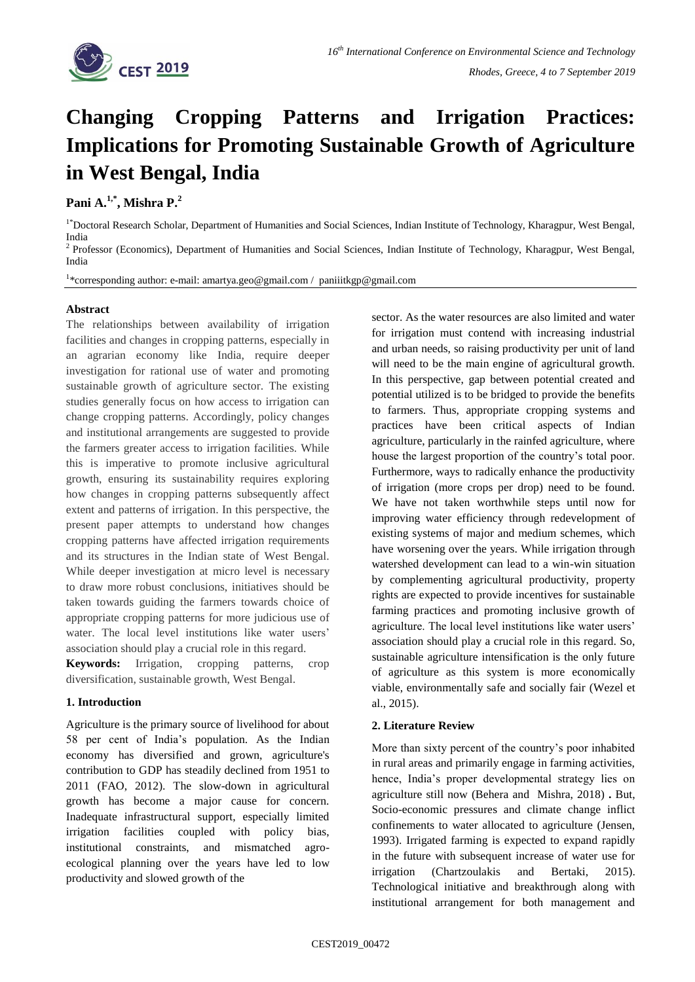

# **Changing Cropping Patterns and Irrigation Practices: Implications for Promoting Sustainable Growth of Agriculture in West Bengal, India**

**Pani A.1,\* , Mishra P.<sup>2</sup>**

<sup>1\*</sup>Doctoral Research Scholar, Department of Humanities and Social Sciences, Indian Institute of Technology, Kharagpur, West Bengal, India <sup>2</sup> Professor (Economics), Department of Humanities and Social Sciences, Indian Institute of Technology, Kharagpur, West Bengal,

India

<sup>1</sup>\*corresponding author: e-mail[: amartya.geo@gmail.com](mailto:amartya.geo@gmail.com) / [paniiitkgp@gmail.com](mailto:paniiitkgp@gmail.com)

# **Abstract**

The relationships between availability of irrigation facilities and changes in cropping patterns, especially in an agrarian economy like India, require deeper investigation for rational use of water and promoting sustainable growth of agriculture sector. The existing studies generally focus on how access to irrigation can change cropping patterns. Accordingly, policy changes and institutional arrangements are suggested to provide the farmers greater access to irrigation facilities. While this is imperative to promote inclusive agricultural growth, ensuring its sustainability requires exploring how changes in cropping patterns subsequently affect extent and patterns of irrigation. In this perspective, the present paper attempts to understand how changes cropping patterns have affected irrigation requirements and its structures in the Indian state of West Bengal. While deeper investigation at micro level is necessary to draw more robust conclusions, initiatives should be taken towards guiding the farmers towards choice of appropriate cropping patterns for more judicious use of water. The local level institutions like water users' association should play a crucial role in this regard.

**Keywords:** Irrigation, cropping patterns, crop diversification, sustainable growth, West Bengal.

## **1. Introduction**

Agriculture is the primary source of livelihood for about 58 per cent of India's population. As the Indian economy has diversified and grown, agriculture's contribution to GDP has steadily declined from 1951 to 2011 (FAO, 2012). The slow-down in agricultural growth has become a major cause for concern. Inadequate infrastructural support, especially limited irrigation facilities coupled with policy bias, institutional constraints, and mismatched agroecological planning over the years have led to low productivity and slowed growth of the

sector. As the water resources are also limited and water for irrigation must contend with increasing industrial and urban needs, so raising productivity per unit of land will need to be the main engine of agricultural growth. In this perspective, gap between potential created and potential utilized is to be bridged to provide the benefits to farmers. Thus, appropriate cropping systems and practices have been critical aspects of Indian agriculture, particularly in the rainfed agriculture, where house the largest proportion of the country's total poor. Furthermore, ways to radically enhance the productivity of irrigation (more crops per drop) need to be found. We have not taken worthwhile steps until now for improving water efficiency through redevelopment of existing systems of major and medium schemes, which have worsening over the years. While irrigation through watershed development can lead to a win-win situation by complementing agricultural productivity, property rights are expected to provide incentives for sustainable farming practices and promoting inclusive growth of agriculture. The local level institutions like water users' association should play a crucial role in this regard. So, sustainable agriculture intensification is the only future of agriculture as this system is more economically viable, environmentally safe and socially fair (Wezel et al., 2015).

## **2. Literature Review**

More than sixty percent of the country's poor inhabited in rural areas and primarily engage in farming activities, hence, India's proper developmental strategy lies on agriculture still now (Behera and Mishra, 2018) **.** But, Socio-economic pressures and climate change inflict confinements to water allocated to agriculture (Jensen, 1993). Irrigated farming is expected to expand rapidly in the future with subsequent increase of water use for irrigation (Chartzoulakis and Bertaki, 2015). Technological initiative and breakthrough along with institutional arrangement for both management and